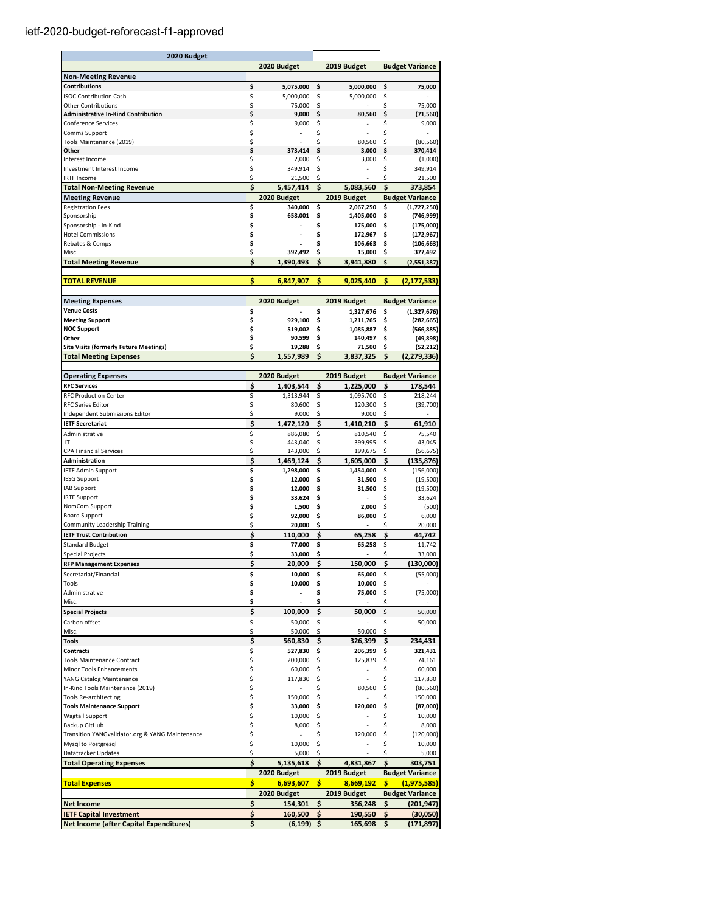## ietf-2020-budget-reforecast-f1-approved

| 2020 Budget                                                       |          |                    |          |                    |          |                        |
|-------------------------------------------------------------------|----------|--------------------|----------|--------------------|----------|------------------------|
|                                                                   |          | 2020 Budget        |          | 2019 Budget        |          | <b>Budget Variance</b> |
| <b>Non-Meeting Revenue</b>                                        |          |                    |          |                    |          |                        |
| <b>Contributions</b>                                              | \$       | 5,075,000          | \$       | 5,000,000          | \$       | 75,000                 |
| <b>ISOC Contribution Cash</b>                                     | \$       | 5,000,000          | \$       | 5,000,000          | \$       |                        |
| <b>Other Contributions</b>                                        | \$       | 75,000             | \$       |                    | \$       | 75,000                 |
| <b>Administrative In-Kind Contribution</b>                        | \$       | 9,000              | \$       | 80.560             | \$       | (71,560)               |
| <b>Conference Services</b>                                        | \$       | 9,000              | \$       |                    | \$       | 9,000                  |
| Comms Support                                                     | \$       |                    | \$<br>\$ |                    | \$<br>\$ |                        |
| Tools Maintenance (2019)<br>Other                                 | \$<br>\$ | 373,414            | \$       | 80,560<br>3,000    | \$       | (80, 560)<br>370,414   |
| Interest Income                                                   | \$       | 2,000              | \$       | 3,000              | \$       | (1,000)                |
| Investment Interest Income                                        | \$       | 349,914            | \$       |                    | \$       | 349,914                |
| <b>IRTF Income</b>                                                | \$       | 21,500             | \$       |                    | \$       | 21,500                 |
| <b>Total Non-Meeting Revenue</b>                                  | \$       | 5,457,414          | \$       | 5,083,560          | \$       | 373,854                |
| <b>Meeting Revenue</b>                                            |          | 2020 Budget        |          | 2019 Budget        |          | <b>Budget Variance</b> |
| <b>Registration Fees</b>                                          | \$       | 340,000            | \$       | 2,067,250          | \$       | (1,727,250)            |
| Sponsorship                                                       | \$       | 658,001            | \$       | 1,405,000          | \$       | (746, 999)             |
| Sponsorship - In-Kind                                             | \$       |                    | \$       | 175,000            | \$       | (175,000)              |
| <b>Hotel Commissions</b>                                          | \$       |                    | \$       | 172,967            | \$       | (172, 967)             |
| Rebates & Comps                                                   | \$       |                    | \$       | 106,663            | \$       | (106, 663)             |
| Misc.                                                             | \$       | 392,492            | \$       | 15,000             | \$       | 377,492                |
| <b>Total Meeting Revenue</b>                                      | \$       | 1,390,493          | \$       | 3,941,880          | \$       | (2,551,387)            |
|                                                                   |          |                    |          |                    |          |                        |
| <b>TOTAL REVENUE</b>                                              | \$       | 6,847,907          | \$       | 9,025,440          | \$       | (2, 177, 533)          |
|                                                                   |          |                    |          |                    |          |                        |
| <b>Meeting Expenses</b>                                           |          | 2020 Budget        |          | 2019 Budget        |          | <b>Budget Variance</b> |
| <b>Venue Costs</b>                                                | \$       |                    | \$       | 1,327,676          | \$       | (1,327,676)            |
| <b>Meeting Support</b>                                            | \$       | 929,100            | \$       | 1,211,765          | \$       | (282, 665)             |
| <b>NOC Support</b>                                                | \$       | 519,002            | \$       | 1,085,887          | \$       | (566, 885)             |
| Other                                                             | \$       | 90,599             | \$       | 140,497            | \$       | (49, 898)              |
| <b>Site Visits (formerly Future Meetings)</b>                     | \$       | 19,288             | \$       | 71,500             | \$       | (52, 212)              |
| <b>Total Meeting Expenses</b>                                     | \$       | 1,557,989          | \$       | 3,837,325          | \$       | (2, 279, 336)          |
|                                                                   |          |                    |          |                    |          |                        |
| <b>Operating Expenses</b>                                         |          | 2020 Budget        |          | 2019 Budget        |          | <b>Budget Variance</b> |
| <b>RFC Services</b>                                               | \$       | 1,403,544          | \$       | 1,225,000          | \$       | 178,544                |
| <b>RFC Production Center</b>                                      | \$       | 1,313,944          | \$       | 1,095,700          | \$       | 218,244                |
| <b>RFC Series Editor</b><br><b>Independent Submissions Editor</b> | \$<br>\$ | 80,600<br>9,000    | \$<br>\$ | 120,300<br>9,000   | \$<br>\$ | (39,700)               |
|                                                                   | \$       |                    |          |                    |          |                        |
| <b>IETF Secretariat</b>                                           |          | 1,472,120          | \$       | 1,410,210          | \$       | 61,910                 |
| Administrative<br>IT                                              | \$<br>\$ | 886,080<br>443,040 | \$<br>\$ | 810,540<br>399,995 | \$<br>\$ | 75,540<br>43,045       |
| <b>CPA Financial Services</b>                                     | \$       | 143,000            | \$       | 199,675            | \$       | (56, 675)              |
| <b>Administration</b>                                             | \$       | 1,469,124          | \$       | 1,605,000          | \$       | (135, 876)             |
| <b>IETF Admin Support</b>                                         | \$       | 1,298,000          | \$       | 1,454,000          | \$       | (156,000)              |
| <b>IESG Support</b>                                               | \$       | 12,000             | \$       | 31,500             | \$       | (19, 500)              |
| <b>IAB Support</b>                                                | \$       | 12,000             | \$       | 31,500             | \$       | (19,500)               |
| <b>IRTF Support</b>                                               | \$       | 33,624             | \$       |                    | \$       | 33,624                 |
| NomCom Support                                                    | \$       | 1,500              | \$       | 2,000              | \$       | (500)                  |
| <b>Board Support</b>                                              | \$       | 92,000             | \$       | 86,000             | \$       | 6,000                  |
| <b>Community Leadership Training</b>                              | \$       | 20,000             | \$       |                    | \$       | 20,000                 |
| <b>IETF Trust Contribution</b>                                    | \$       | 110,000            | \$       | 65,258             | \$       | 44,742                 |
| <b>Standard Budget</b>                                            | \$       | 77,000             | \$       | 65,258             | \$       | 11,742                 |
| Special Projects                                                  | \$       | 33,000             | \$       |                    | \$       | 33,000                 |
| <b>RFP Management Expenses</b>                                    | \$       | 20,000             | \$       | 150,000            | \$       | (130,000)              |
| Secretariat/Financial                                             | \$       | 10,000             | \$       | 65,000             | \$       | (55,000)               |
| Tools                                                             | \$       | 10,000             | \$       | 10,000             | \$       |                        |
| Administrative                                                    | \$       |                    | \$       | 75,000             | \$       | (75,000)               |
| Misc.                                                             | \$       |                    | \$       |                    | \$       |                        |
| <b>Special Projects</b>                                           | \$       | 100,000            | \$       | 50,000             | \$       | 50,000                 |
| Carbon offset                                                     | \$       | 50,000             | \$       |                    | \$       | 50,000                 |
| Misc.                                                             | \$       | 50,000             | \$       | 50,000             | \$       |                        |
| Tools                                                             | \$       | 560,830            | \$       | 326,399            | \$       | 234,431                |
| <b>Contracts</b>                                                  | \$       | 527,830            | \$       | 206,399            | \$       | 321,431                |
| <b>Tools Maintenance Contract</b>                                 | \$       | 200,000            | \$       | 125,839            | \$       | 74,161                 |
| <b>Minor Tools Enhancements</b>                                   | \$       | 60,000             | \$       |                    | \$       | 60,000                 |
| YANG Catalog Maintenance                                          | \$       | 117,830            | \$       |                    | \$       | 117,830                |
| In-Kind Tools Maintenance (2019)                                  | \$       |                    | \$       | 80,560             | \$       | (80, 560)              |
| <b>Tools Re-architecting</b>                                      | \$       | 150,000            | \$       |                    | \$       | 150,000                |
| <b>Tools Maintenance Support</b>                                  | \$       | 33,000             | \$       | 120,000            | \$       | (87,000)               |
| Wagtail Support                                                   | \$       | 10,000             | \$       |                    | \$       | 10,000                 |
| Backup GitHub                                                     | \$       | 8,000              | \$       |                    | \$       | 8,000                  |
| Transition YANGvalidator.org & YANG Maintenance                   | \$       |                    | \$       | 120,000            | \$       | (120,000)              |
| Mysql to Postgresql                                               | \$       | 10,000             | \$       |                    | \$       | 10,000                 |
| Datatracker Updates                                               | \$       | 5,000              | \$       |                    | \$       | 5,000                  |
| <b>Total Operating Expenses</b>                                   | \$       | 5,135,618          | \$       | 4,831,867          | \$       | 303,751                |
|                                                                   |          | 2020 Budget        |          | 2019 Budget        |          | <b>Budget Variance</b> |
| <b>Total Expenses</b>                                             | \$       | 6,693,607          | \$       | 8,669,192          | \$       | (1,975,585)            |
|                                                                   |          | 2020 Budget        |          | 2019 Budget        |          | <b>Budget Variance</b> |
| <b>Net Income</b>                                                 | \$       | 154,301            | \$       | 356,248            | \$       | (201, 947)             |
| <b>IETF Capital Investment</b>                                    | \$       | 160,500            | \$       | 190,550            | \$       | (30,050)               |
| <b>Net Income (after Capital Expenditures)</b>                    | \$       | $(6, 199)$ \$      |          | 165,698            | \$       | (171, 897)             |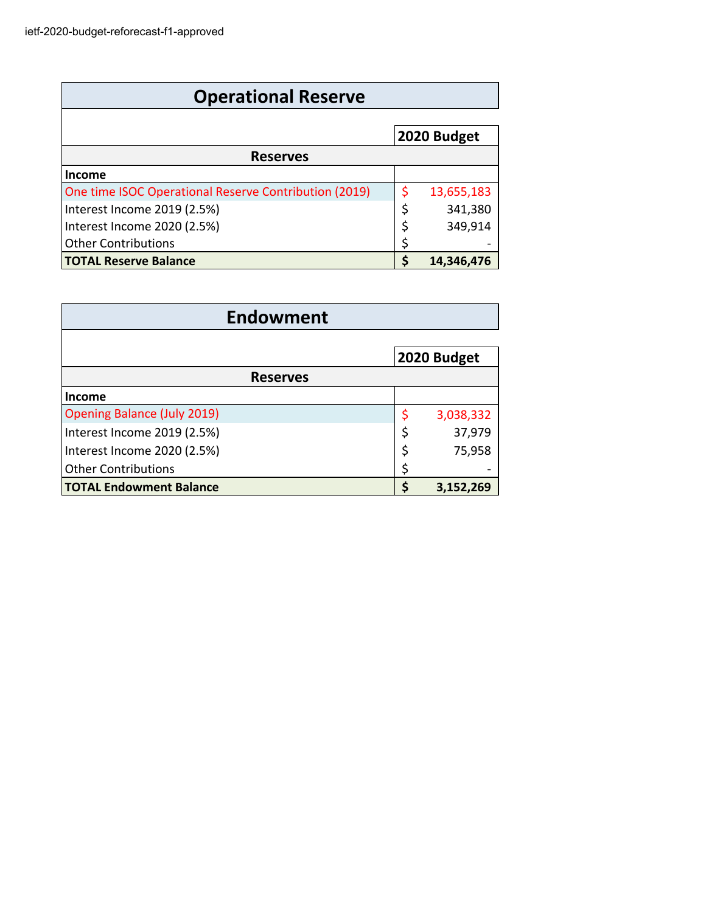## **Operational Reserve**

|                                                       | 2020 Budget |            |  |  |  |  |  |
|-------------------------------------------------------|-------------|------------|--|--|--|--|--|
| <b>Reserves</b>                                       |             |            |  |  |  |  |  |
| <b>Income</b>                                         |             |            |  |  |  |  |  |
| One time ISOC Operational Reserve Contribution (2019) |             | 13,655,183 |  |  |  |  |  |
| Interest Income 2019 (2.5%)                           |             | 341,380    |  |  |  |  |  |
| Interest Income 2020 (2.5%)                           | \$          | 349,914    |  |  |  |  |  |
| <b>Other Contributions</b>                            |             |            |  |  |  |  |  |
| <b>TOTAL Reserve Balance</b>                          |             | 14,346,476 |  |  |  |  |  |

| <b>Endowment</b>                   |    |             |  |  |  |  |  |  |
|------------------------------------|----|-------------|--|--|--|--|--|--|
|                                    |    |             |  |  |  |  |  |  |
|                                    |    | 2020 Budget |  |  |  |  |  |  |
| <b>Reserves</b>                    |    |             |  |  |  |  |  |  |
| <b>Income</b>                      |    |             |  |  |  |  |  |  |
| <b>Opening Balance (July 2019)</b> | \$ | 3,038,332   |  |  |  |  |  |  |
| Interest Income 2019 (2.5%)        | \$ | 37,979      |  |  |  |  |  |  |
| Interest Income 2020 (2.5%)        | \$ | 75,958      |  |  |  |  |  |  |
| <b>Other Contributions</b>         | \$ |             |  |  |  |  |  |  |
| <b>TOTAL Endowment Balance</b>     | Ś  | 3,152,269   |  |  |  |  |  |  |